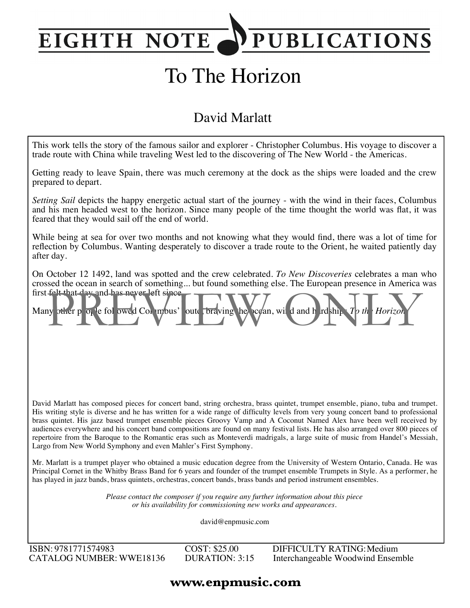## **PUBLICATIONS EIGHTH NOTE**

# To The Horizon

### David Marlatt

This work tells the story of the famous sailor and explorer - Christopher Columbus. His voyage to discover a trade route with China while traveling West led to the discovering of The New World - the Americas.

Getting ready to leave Spain, there was much ceremony at the dock as the ships were loaded and the crew prepared to depart.

*Setting Sail* depicts the happy energetic actual start of the journey - with the wind in their faces, Columbus and his men headed west to the horizon. Since many people of the time thought the world was flat, it was feared that they would sail off the end of world.

While being at sea for over two months and not knowing what they would find, there was a lot of time for reflection by Columbus. Wanting desperately to discover a trade route to the Orient, he waited patiently day after day.

On October 12 1492, land was spotted and the crew celebrated. *To New Discoveries* celebrates a man who crossed the ocean in search of something... but found something else. The European presence in America was first felt that day and has never left since.

Many other p<sub>op</sub>le followed Columbus' loute, braving the ocean, will denote the *Horizonic To the Horizonic Horizon*.

David Marlatt has composed pieces for concert band, string orchestra, brass quintet, trumpet ensemble, piano, tuba and trumpet. His writing style is diverse and he has written for a wide range of difficulty levels from very young concert band to professional brass quintet. His jazz based trumpet ensemble pieces Groovy Vamp and A Coconut Named Alex have been well received by audiences everywhere and his concert band compositions are found on many festival lists. He has also arranged over 800 pieces of repertoire from the Baroque to the Romantic eras such as Monteverdi madrigals, a large suite of music from Handel's Messiah, Largo from New World Symphony and even Mahler's First Symphony.

Mr. Marlatt is a trumpet player who obtained a music education degree from the University of Western Ontario, Canada. He was Principal Cornet in the Whitby Brass Band for 6 years and founder of the trumpet ensemble Trumpets in Style. As a performer, he has played in jazz bands, brass quintets, orchestras, concert bands, brass bands and period instrument ensembles.

> *Please contact the composer if you require any further information about this piece or his availability for commissioning new works and appearances.*

> > david@enpmusic.com

ISBN: 9781771574983 CATALOG NUMBER: WWE18136 COST: \$25.00 DURATION: 3:15 DIFFICULTY RATING:Medium Interchangeable Woodwind Ensemble

#### **www.enpmusic.com**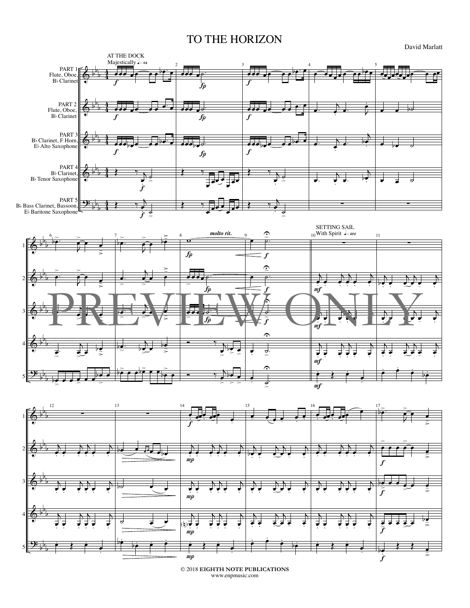#### TO THE HORIZON





© 2018 **EIGHTH NOTE PUBLICATIONS** www.enpmusic.com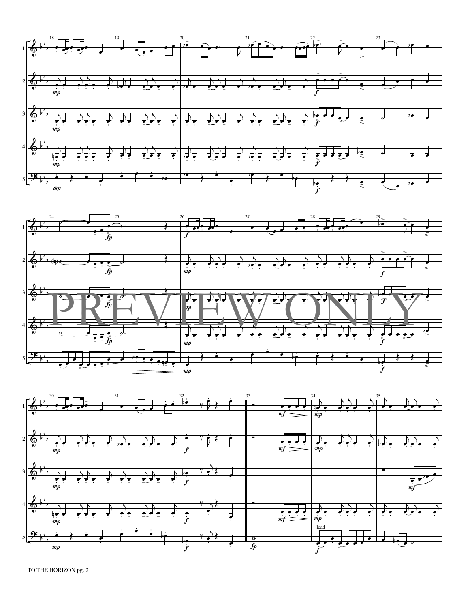





TO THE HORIZON pg. 2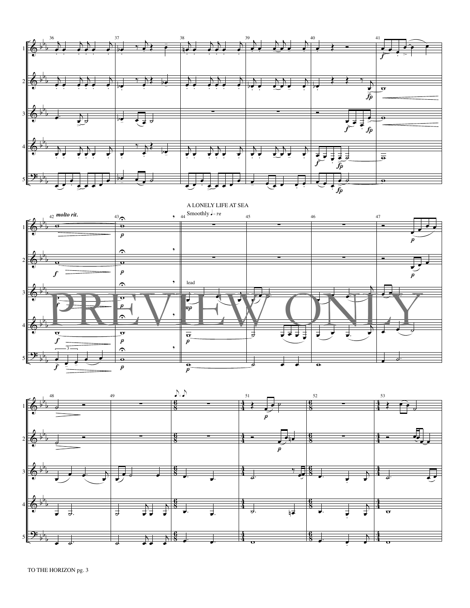





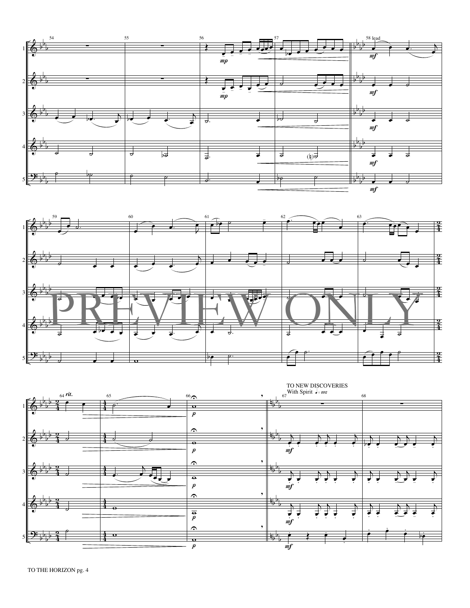